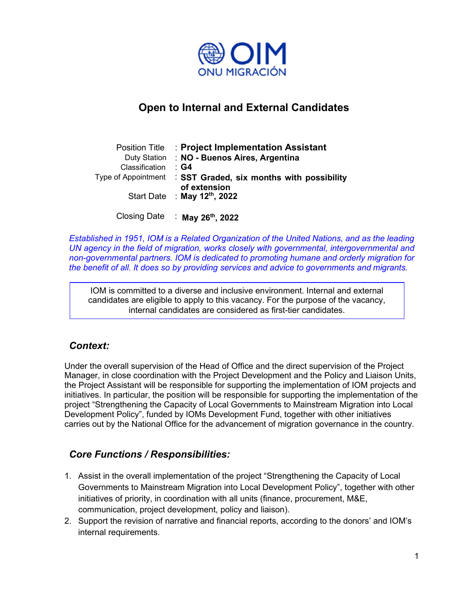

# Open to Internal and External Candidates

| Position Title      | : Project Implementation Assistant                      |
|---------------------|---------------------------------------------------------|
|                     | Duty Station : NO - Buenos Aires, Argentina             |
| Classification      | ∶ G4                                                    |
| Type of Appointment | SST Graded, six months with possibility<br>of extension |
|                     | Start Date : May 12th, 2022                             |

Closing Date : May 26<sup>th</sup>, 2022

Established in 1951, IOM is a Related Organization of the United Nations, and as the leading UN agency in the field of migration, works closely with governmental, intergovernmental and non-governmental partners. IOM is dedicated to promoting humane and orderly migration for the benefit of all. It does so by providing services and advice to governments and migrants.

IOM is committed to a diverse and inclusive environment. Internal and external candidates are eligible to apply to this vacancy. For the purpose of the vacancy, internal candidates are considered as first-tier candidates.

# Context:

Under the overall supervision of the Head of Office and the direct supervision of the Project Manager, in close coordination with the Project Development and the Policy and Liaison Units, the Project Assistant will be responsible for supporting the implementation of IOM projects and initiatives. In particular, the position will be responsible for supporting the implementation of the project "Strengthening the Capacity of Local Governments to Mainstream Migration into Local Development Policy", funded by IOMs Development Fund, together with other initiatives carries out by the National Office for the advancement of migration governance in the country.

# Core Functions / Responsibilities:

- 1. Assist in the overall implementation of the project "Strengthening the Capacity of Local Governments to Mainstream Migration into Local Development Policy", together with other initiatives of priority, in coordination with all units (finance, procurement, M&E, communication, project development, policy and liaison).
- 2. Support the revision of narrative and financial reports, according to the donors' and IOM's internal requirements.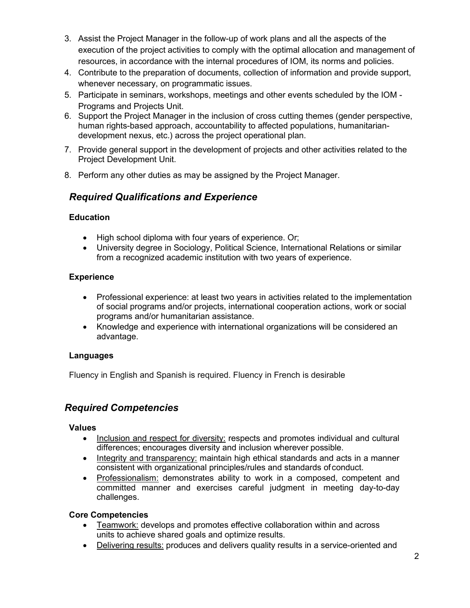- 3. Assist the Project Manager in the follow-up of work plans and all the aspects of the execution of the project activities to comply with the optimal allocation and management of resources, in accordance with the internal procedures of IOM, its norms and policies.
- 4. Contribute to the preparation of documents, collection of information and provide support, whenever necessary, on programmatic issues.
- 5. Participate in seminars, workshops, meetings and other events scheduled by the IOM Programs and Projects Unit.
- 6. Support the Project Manager in the inclusion of cross cutting themes (gender perspective, human rights-based approach, accountability to affected populations, humanitariandevelopment nexus, etc.) across the project operational plan.
- 7. Provide general support in the development of projects and other activities related to the Project Development Unit.
- 8. Perform any other duties as may be assigned by the Project Manager.

# Required Qualifications and Experience

#### **Education**

- High school diploma with four years of experience. Or;
- University degree in Sociology, Political Science, International Relations or similar from a recognized academic institution with two years of experience.

### **Experience**

- Professional experience: at least two years in activities related to the implementation of social programs and/or projects, international cooperation actions, work or social programs and/or humanitarian assistance.
- Knowledge and experience with international organizations will be considered an advantage.

### Languages

Fluency in English and Spanish is required. Fluency in French is desirable

### Required Competencies

#### Values

- Inclusion and respect for diversity: respects and promotes individual and cultural differences; encourages diversity and inclusion wherever possible.
- Integrity and transparency: maintain high ethical standards and acts in a manner consistent with organizational principles/rules and standards of conduct.
- Professionalism: demonstrates ability to work in a composed, competent and committed manner and exercises careful judgment in meeting day-to-day challenges.

#### Core Competencies

- Teamwork: develops and promotes effective collaboration within and across units to achieve shared goals and optimize results.
- Delivering results: produces and delivers quality results in a service-oriented and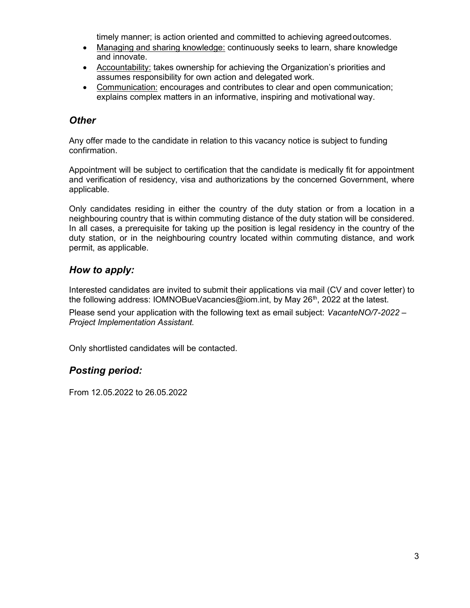timely manner; is action oriented and committed to achieving agreed outcomes.

- Managing and sharing knowledge: continuously seeks to learn, share knowledge and innovate.
- Accountability: takes ownership for achieving the Organization's priorities and assumes responsibility for own action and delegated work.
- Communication: encourages and contributes to clear and open communication; explains complex matters in an informative, inspiring and motivational way.

### **Other**

Any offer made to the candidate in relation to this vacancy notice is subject to funding confirmation.

Appointment will be subject to certification that the candidate is medically fit for appointment and verification of residency, visa and authorizations by the concerned Government, where applicable.

Only candidates residing in either the country of the duty station or from a location in a neighbouring country that is within commuting distance of the duty station will be considered. In all cases, a prerequisite for taking up the position is legal residency in the country of the duty station, or in the neighbouring country located within commuting distance, and work permit, as applicable.

## How to apply:

Interested candidates are invited to submit their applications via mail (CV and cover letter) to the following address: IOMNOBueVacancies@iom.int, by May 26<sup>th</sup>, 2022 at the latest.

Please send your application with the following text as email subject: VacanteNO/7-2022 -Project Implementation Assistant.

Only shortlisted candidates will be contacted.

### Posting period:

From 12.05.2022 to 26.05.2022